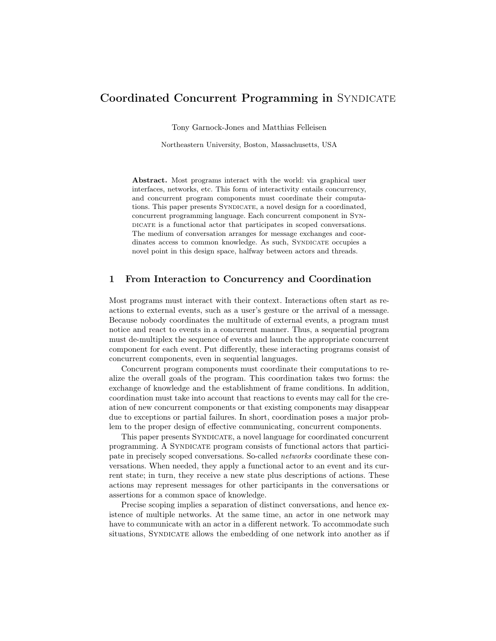# Coordinated Concurrent Programming in SYNDICATE

Tony Garnock-Jones and Matthias Felleisen

Northeastern University, Boston, Massachusetts, USA

Abstract. Most programs interact with the world: via graphical user interfaces, networks, etc. This form of interactivity entails concurrency, and concurrent program components must coordinate their computations. This paper presents SYNDICATE, a novel design for a coordinated, concurrent programming language. Each concurrent component in Syn-DICATE is a functional actor that participates in scoped conversations. The medium of conversation arranges for message exchanges and coordinates access to common knowledge. As such, SYNDICATE occupies a novel point in this design space, halfway between actors and threads.

## 1 From Interaction to Concurrency and Coordination

Most programs must interact with their context. Interactions often start as reactions to external events, such as a user's gesture or the arrival of a message. Because nobody coordinates the multitude of external events, a program must notice and react to events in a concurrent manner. Thus, a sequential program must de-multiplex the sequence of events and launch the appropriate concurrent component for each event. Put differently, these interacting programs consist of concurrent components, even in sequential languages.

Concurrent program components must coordinate their computations to realize the overall goals of the program. This coordination takes two forms: the exchange of knowledge and the establishment of frame conditions. In addition, coordination must take into account that reactions to events may call for the creation of new concurrent components or that existing components may disappear due to exceptions or partial failures. In short, coordination poses a major problem to the proper design of effective communicating, concurrent components.

This paper presents SYNDICATE, a novel language for coordinated concurrent programming. A Syndicate program consists of functional actors that participate in precisely scoped conversations. So-called networks coordinate these conversations. When needed, they apply a functional actor to an event and its current state; in turn, they receive a new state plus descriptions of actions. These actions may represent messages for other participants in the conversations or assertions for a common space of knowledge.

Precise scoping implies a separation of distinct conversations, and hence existence of multiple networks. At the same time, an actor in one network may have to communicate with an actor in a different network. To accommodate such situations, SYNDICATE allows the embedding of one network into another as if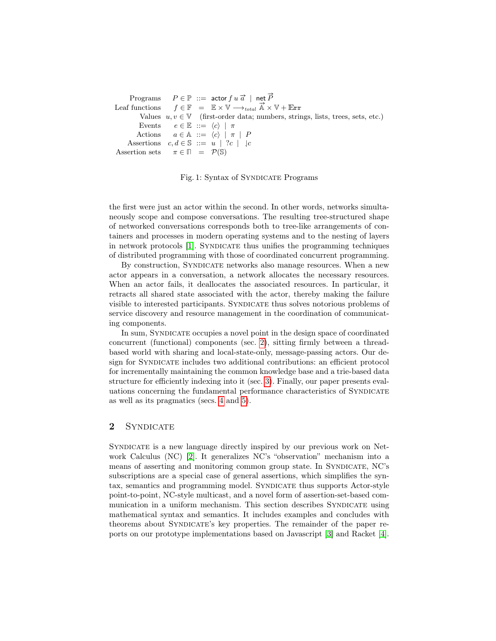```
Programs P \in \mathbb{P} ::= actor f u \overrightarrow{a} \ \vert net \overrightarrow{P}Leaf functions f \in \mathbb{F} = \mathbb{E} \times \mathbb{V} \longrightarrow_{total} \mathbb{A} \times \mathbb{V} + \mathbb{E} \mathbb{I} \mathbb{r}Values u, v \in V (first-order data; numbers, strings, lists, trees, sets, etc.)
           Events e \in \mathbb{E} ::= \langle c \rangle \mid \piActions a \in \mathbb{A} := \langle c \rangle | \pi | PAssertions c, d \in \mathbb{S} ::= u | ?c | cAssertion sets \pi \in \mathbb{R} = \mathcal{P}(\mathbb{S})
```
Fig. 1: Syntax of SYNDICATE Programs

the first were just an actor within the second. In other words, networks simultaneously scope and compose conversations. The resulting tree-structured shape of networked conversations corresponds both to tree-like arrangements of containers and processes in modern operating systems and to the nesting of layers in network protocols [1]. SYNDICATE thus unifies the programming techniques of distributed programming with those of coordinated concurrent programming.

By construction, Syndicate networks also manage resources. When a new actor appears in a conversation, a network allocates the necessary resources. When an actor fails, it deallocates the associated resources. In particular, it retracts all shared st[at](#page-1-0)e associated with the actor, thereby making the failure visible to interested participants. Syndicate thus solves notorious problems of service discovery and resource management in the coordination of communicating components.

<span id="page-1-0"></span>In sum, Syndicate [o](#page-10-0)ccupies a novel point in the design space of coordinated concurrent (functional) components (sec. 2), sitting firmly between a threadbased wo[rld](#page-18-0) wit[h](#page-21-0) sharing and local-state-only, message-passing actors. Our design for Syndicate includes two additional contributions: an efficient protocol for incrementally maintaining the common knowledge base and a trie-based data structure for efficiently indexing into it (sec. 3). Finally, our paper presents evaluations concerning the fundamental performance characteristics of SYNDICATE a[s w](#page-25-0)ell as its pragmatics (secs. 4 and 5).

## 2 SYNDICATE

Syndicate is a new language directly inspired by our previous work on Network Calculus (NC) [2]. It generalizes NC's "observation" mechanism into a means of asserting and monitoring common group state. In SYNDICATE, NC's subscriptions are a special case of general assertions, which simplifies the syn-tax, semantics and programming model. [S](#page-25-1)YNDICATE t[hus](#page-25-2) supports Actor-style point-to-point, NC-style multicast, and a novel form of assertion-set-based communication in a uniform mechanism. This section describes SYNDICATE using mathematical syntax and semantics. It includes examples and concludes with theorems about SYNDICATE's key properties. The remainder of the paper reports on our prototype implementations based on Javascript [3] and Racket [4].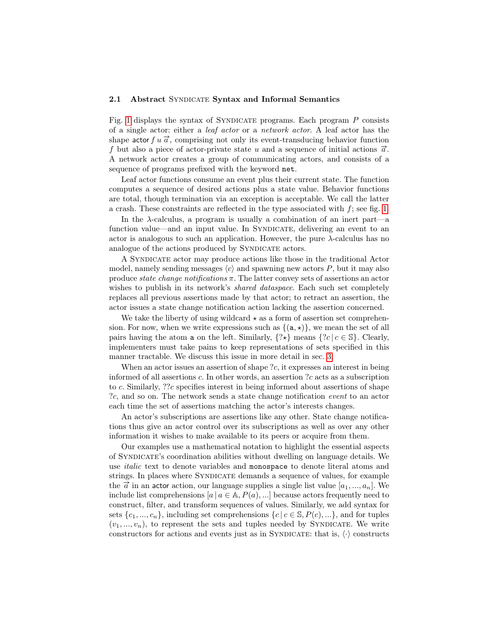#### 2.1 Abstract SYNDICATE Syntax and Informal Semantics

Fig. 1 displays the syntax of SYNDICATE programs. Each program  $P$  consists of a single actor: either a leaf actor or a network actor. A leaf actor has the shape actor  $f u \vec{a}$ , comprising not only its event-transducing behavior function f but also a piece of actor-private state u and a sequence of initial actions  $\vec{a}$ . A network actor creates a group of communicating ac[to](#page-1-1)rs, and consists of a sequence of programs prefixed with the keyword net.

Leaf actor functions consume an event plus their current state. The function computes a sequence of desired actions plus a state value. Behavior functions are total, though termination via an exception is acceptable. We call the latter a crash. These constraints are reflected in the type associated with  $f$ ; see fig. 1.

In the  $\lambda$ -calculus, a program is usually a combination of an inert part—a function value—and an input value. In SYNDICATE, delivering an event to an actor is analogous to such an application. However, the pure  $\lambda$ -calculus has no analogue of the actions produced by SYNDICATE actors.

A Syndicate actor may produce actions like those in the traditional Actor model, namely sending messages  $\langle c \rangle$  and spawning new actors P, but it may also produce state change notifications  $\pi$ . The latter convey sets of assertions an actor wishes to publish in its network's *shared dataspace*. Each such set completely replaces all previous assertions made by that actor; to retract an assertion, the actor issues a state change notification [act](#page-10-0)ion lacking the assertion concerned.

We take the liberty of using wildcard  $\star$  as a form of assertion set comprehension. For now, when we write expressions such as  $\{(a, \star)\}\)$ , we mean the set of all pairs having the atom **a** on the left. Similarly,  $\{? \star \}$  means  $\{?c \mid c \in \mathbb{S}\}.$  Clearly, implementers must take pains to keep representations of sets specified in this manner tractable. We discuss this issue in more detail in sec. 3;

When an actor issues an assertion of shape  $\mathcal{C}c$ , it expresses an interest in being informed of all assertions  $c$ . In other words, an assertion ? $c$  acts as a subscription to  $c$ . Similarly, ?? $c$  specifies interest in being informed about assertions of shape ?c, and so on. The network sends a state change notification event to an actor each time the set of assertions matching the actor's interests changes.

An actor's subscriptions are assertions like any other. State change notifications thus give an actor control over its subscriptions as well as over any other information it wishes to make available to its peers or acquire from them.

Our examples use a mathematical notation to highlight the essential aspects of Syndicate's coordination abilities without dwelling on language details. We use italic text to denote variables and monospace to denote literal atoms and strings. In places where SYNDICATE demands a sequence of values, for example the  $\vec{a}$  in an actor action, our language supplies a single list value  $[a_1, ..., a_n]$ . We include list comprehensions  $[a \in A, P(a),...]$  because actors frequently need to construct, filter, and transform sequences of values. Similarly, we add syntax for sets  $\{c_1, ..., c_n\}$ , including set comprehensions  $\{c \mid c \in \mathbb{S}, P(c), ...\}$ , and for tuples  $(v_1, ..., v_n)$ , to represent the sets and tuples needed by SYNDICATE. We write constructors for actions and events just as in SYNDICATE: that is,  $\langle \cdot \rangle$  constructs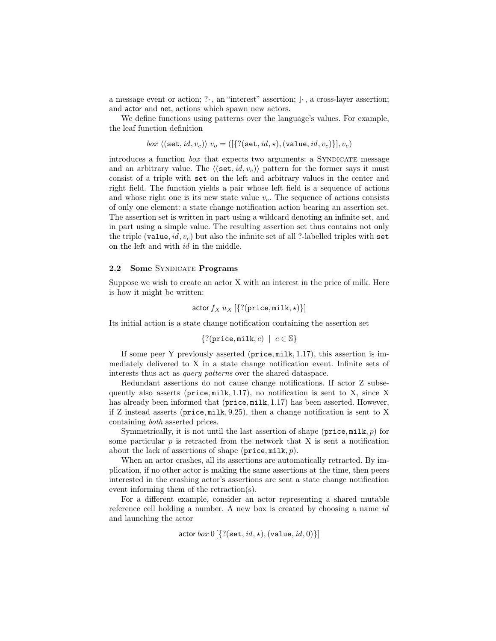a message event or action;  $\cdot \cdot$ , an "interest" assertion;  $\cdot \cdot$ , a cross-layer assertion; and actor and net, actions which spawn new actors.

We define functions using patterns over the language's values. For example, the leaf function definition

$$
box \ \langle(\texttt{set},id,v_c)\rangle \ v_o = ([\{?(\texttt{set},id,\star),(\texttt{value},id,v_c)\}],v_c)
$$

introduces a function  $box$  that expects two arguments: a SYNDICATE message and an arbitrary value. The  $\langle (\text{set}, id, v_c) \rangle$  pattern for the former says it must consist of a triple with set on the left and arbitrary values in the center and right field. The function yields a pair whose left field is a sequence of actions and whose right one is its new state value  $v_c$ . The sequence of actions consists of only one element: a state change notification action bearing an assertion set. The assertion set is written in part using a wildcard denoting an infinite set, and in part using a simple value. The resulting assertion set thus contains not only the triple (value,  $id, v_c$ ) but also the infinite set of all ?-labelled triples with set on the left and with id in the middle.

### <span id="page-3-0"></span>2.2 Some SYNDICATE Programs

Suppose we wish to create an actor X with an interest in the price of milk. Here is how it might be written:

actor 
$$
f_X u_X
$$
 [{?(price, milk, \*)}]

Its initial action is a state change notification containing the assertion set

$$
\{?(\texttt{price}, \texttt{milk}, c) \mid c \in \mathbb{S}\}
$$

If some peer Y previously asserted ( $\text{price}, \text{milk}, 1.17$ ), this assertion is immediately delivered to X in a state change notification event. Infinite sets of interests thus act as query patterns over the shared dataspace.

Redundant assertions do not cause change notifications. If actor Z subsequently also asserts (price, milk, 1.17), no notification is sent to X, since X has already been informed that (price, milk, 1.17) has been asserted. However, if Z instead asserts (price, milk, 9.25), then a change notification is sent to X containing both asserted prices.

Symmetrically, it is not until the last assertion of shape ( $\text{price}, \text{milk}, p$ ) for some particular  $p$  is retracted from the network that X is sent a notification about the lack of assertions of shape ( $\text{price}, \text{milk}, p$ ).

When an actor crashes, all its assertions are automatically retracted. By implication, if no other actor is making the same assertions at the time, then peers interested in the crashing actor's assertions are sent a state change notification event informing them of the retraction(s).

For a different example, consider an actor representing a shared mutable reference cell holding a number. A new box is created by choosing a name id and launching the actor

$$
\mathsf{actor}~box~0\left[ \{?(\mathtt{set},\mathit{id},\star),(\mathtt{value},\mathit{id},0) \} \right]
$$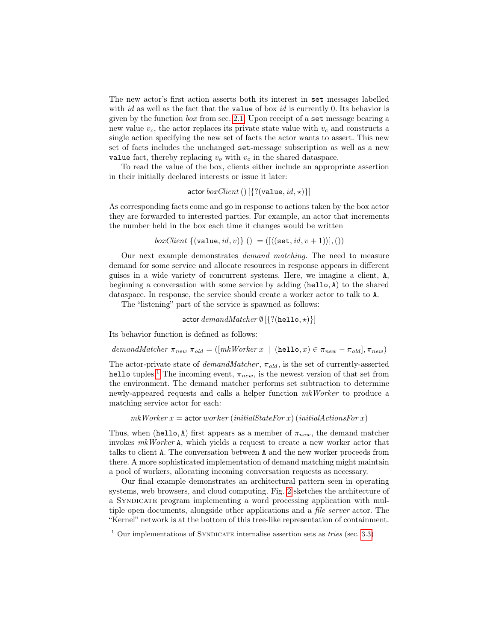The new actor's first action asserts both its interest in set messages labelled with  $id$  as well as the fact that the value of box  $id$  is currently 0. Its behavior is given by the function box from sec. 2.1. Upon receipt of a set message bearing a new value  $v_c$ , the actor replaces its private state value with  $v_c$  and constructs a single action specifying the new set of facts the actor wants to assert. This new set of facts includes the unchanged set-message subscription as well as a new value fact, thereby replacing  $v<sub>o</sub>$  with  $v<sub>c</sub>$  in the shared dataspace.

To read the value of the box, clients either include an appropriate assertion in their initially declared interests or issue it later:

actor  $boxClient$  ()  $[\{?(\mathtt{value}, id, \star)\}]$ 

As corresponding facts come and go in response to actions taken by the box actor they are forwarded to interested parties. For example, an actor that increments the number held in the box each time it changes would be written

$$
boxClient\{(\mathtt{value}, id, v)\} () = ([\langle (\mathtt{set}, id, v+1) \rangle], () )
$$

Our next example demonstrates demand matching. The need to measure demand for some service and allocate resources in response appears in different guises in a wide variety of concurrent systems. Here, we imagine a client, A, beginning a conversation with some service by adding (hello, A) to the shared dataspace. In response, the service should create a worker actor to talk to A.

The "listening" part of the service is spawned as follows:

actor  $demandMatcher \emptyset$  [{?(hello,  $\star$ )}]

Its behavior function is defined as follows:

demandMatcher  $\pi_{new} \pi_{old} = ([mkWorker x \mid (hello, x) \in \pi_{new} - \pi_{old}], \pi_{new})$ 

The actor-private state of demandMatcher,  $\pi_{old}$ , is the set of currently-asserted hello tuples.<sup>1</sup> The incoming event,  $\pi_{new}$ , is the newest version of that set from the environment. The demand matcher performs set subtraction to determine newly-appeared requests and calls a helper function mkWorker to produce a matching service actor for each:

 $mkWorker x =$  actor worker (initialStateFor x) (initialActionsFor x)

Thus, when (hello, A) first appears as a member of  $\pi_{new}$ , the demand matcher invokes mkWorker A, which [yie](#page-5-0)lds a request to create a new worker actor that talks to client A. The conversation between A and the new worker proceeds from there. A more sophisticated implementation of demand matching might maintain a pool of workers, allocating incoming conversation requests as necessary.

Our final example demonstrates an architectu[ral](#page-14-0) pattern seen in operating systems, web browsers, and cloud computing. Fig. 2 sketches the architecture of a Syndicate program implementing a word processing application with multiple open documents, alongside other applications and a file server actor. The "Kernel" network is at the bottom of this tree-like representation of containment.

<sup>&</sup>lt;sup>1</sup> Our implementations of SYNDICATE internalise assertion sets as *tries* (sec. 3.3)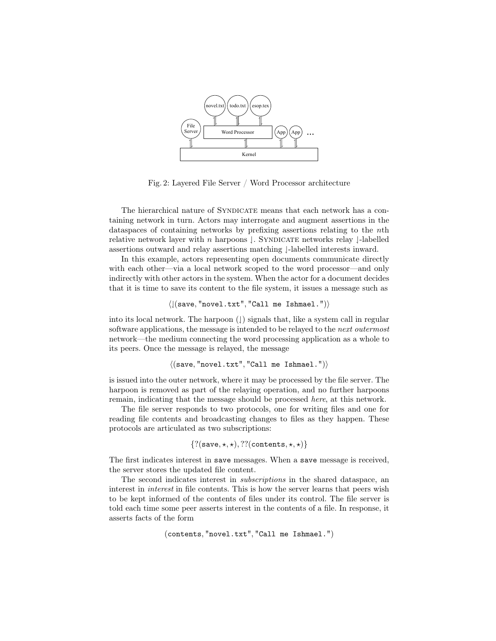<span id="page-5-0"></span>

Fig. 2: Layered File Server / Word Processor architecture

The hierarchical nature of SYNDICATE means that each network has a containing network in turn. Actors may interrogate and augment assertions in the dataspaces of containing networks by prefixing assertions relating to the nth relative network layer with n harpoons  $\Box$ . SYNDICATE networks relay  $\Box$ -labelled assertions outward and relay assertions matching  $\vert$ -labelled interests inward.

In this example, actors representing open documents communicate directly with each other—via a local network scoped to the word processor—and only indirectly with other actors in the system. When the actor for a document decides that it is time to save its content to the file system, it issues a message such as

$$
\langle \texttt{|\texttt{(save, "novel.txt", "Call me Ishmael."})} \rangle
$$

into its local network. The harpoon  $($   $)$  signals that, like a system call in regular software applications, the message is intended to be relayed to the *next outermost* network—the medium connecting the word processing application as a whole to its peers. Once the message is relayed, the message

$$
\langle (\texttt{save},\texttt{"novel.txt",\texttt{"Call me Ishmael."}) \rangle
$$

is issued into the outer network, where it may be processed by the file server. The harpoon is removed as part of the relaying operation, and no further harpoons remain, indicating that the message should be processed here, at this network.

The file server responds to two protocols, one for writing files and one for reading file contents and broadcasting changes to files as they happen. These protocols are articulated as two subscriptions:

$$
\{?(\texttt{save}, \star, \star), ??(\texttt{contents}, \star, \star)\}
$$

The first indicates interest in save messages. When a save message is received, the server stores the updated file content.

The second indicates interest in subscriptions in the shared dataspace, an interest in interest in file contents. This is how the server learns that peers wish to be kept informed of the contents of files under its control. The file server is told each time some peer asserts interest in the contents of a file. In response, it asserts facts of the form

```
(contents, "novel.txt", "Call me Ishmael.")
```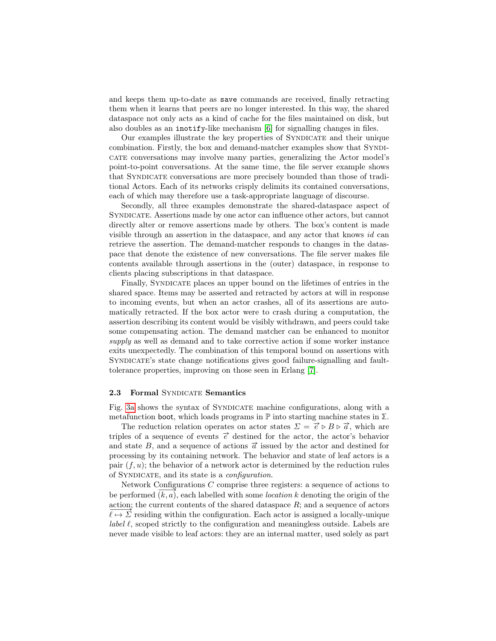and keeps them up-to-date as save commands are received, finally retracting them when it learns that peers are no longer interested. In this way, the shared dataspace not only acts as a kind of cache for the files maintained on disk, but also doubles as an inotify-like mechanism [6] for signalling changes in files.

Our examples illustrate the key properties of SYNDICATE and their unique combination. Firstly, the box and demand-matcher examples show that Syndicate conversations may involve many parties, generalizing the Actor model's point-to-point conversations. At the same time, the file server example shows that Syndicate conversations are more precisely bounded than those of traditional Actors. Each of its networks crisply delimits its contained conversations, each of which may therefore use a task-appropriate language of discourse.

Secondly, all three examples demonstrate the shared-dataspace aspect of Syndicate. Assertions made by one actor can influence other actors, but cannot directly alter or remove assertions made by others. The box's content is made visible through an assertion in the dataspace, and any actor that knows id can retrieve the assertion. The demand-matcher responds to changes in the dataspace that denote the existence of new conversations. The file server makes file contents available through assertions in the (outer) dataspace, in response to clients placing subscriptions in that dataspace.

Finally, Syndicate places an upper bound on the lifetimes of entries in the shared space. Items may be asserted and retracted by actors at will in response to incoming events, but when an actor crashes, all of its assertions are automatically retracted. If the box actor were to crash during a computation, the assertion describing its content wou[ld](#page-25-3) be visibly withdrawn, and peers could take some compensating action. The demand matcher can be enhanced to monitor supply as well as demand and to take corrective action if some worker instance exits unexpectedly. The combination of this temporal bound on assertions with SYNDICATE's state change notifications gives good failure-signalling and faulttolerance properties, improving on those seen in Erlang [7].

#### 2.3 Formal SYNDICATE Semantics

Fig. 3a shows the syntax of Syndicate machine configurations, along with a metafunction boot, which loads programs in P into starting machine states in **Σ**.

The reduction relation operates on actor states  $\Sigma = \vec{e} \triangleright B \triangleright \vec{a}$ , which are triples of a sequence of events  $\vec{e}$  destined for the actor, the actor's behavior and state B, and a sequence of actions  $\vec{a}$  issued by the actor and destined for processing by its containing network. The behavior and state of leaf actors is a pair  $(f, u)$ ; the behavior of a network actor is determined by the reduction rules of SYNDICATE, and its state is a *configuration*.

Network Configurations C comprise three registers: a sequence of actions to betwork Configurations C comprise three registers: a sequence of actions to<br>be performed  $(k, a)$ , each labelled with some *location k* denoting the origin of the action; the current contents of the shared dataspace  $R$ ; and a sequence of actors  $\ell \mapsto \Sigma$  residing within the configuration. Each actor is assigned a locally-unique *label*  $\ell$ *,* scoped strictly to the configuration and meaningless outside. Labels are never made visible to leaf actors: they are an internal matter, used solely as part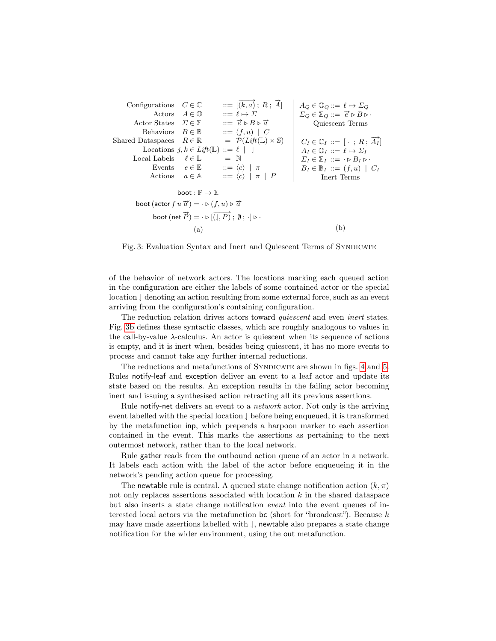| Configurations $C \in \mathbb{C}$                                                                                         |                                   | $ ::= \overrightarrow{[(k, a)}; R; \overrightarrow{A}]$         | $A_O \in \mathbb{O}_O ::= \ell \mapsto \Sigma_O$                           |
|---------------------------------------------------------------------------------------------------------------------------|-----------------------------------|-----------------------------------------------------------------|----------------------------------------------------------------------------|
| Actors $A \in \mathbb{O}$                                                                                                 |                                   | $ ::= \ell \mapsto \Sigma$                                      | $\Sigma_Q \in \Sigma_Q ::= \vec{e} \triangleright B \triangleright \cdot$  |
| Actor States $\Sigma \in \Sigma$                                                                                          |                                   | $ ::= \vec{e} \triangleright B \triangleright \vec{a}$          | Quiescent Terms                                                            |
| Behaviors $B \in \mathbb{B}$                                                                                              |                                   | $ ::= (f, u)   C$                                               |                                                                            |
| Shared Dataspaces                                                                                                         | $R \in \mathbb{R}$                | $= \mathcal{P}(Lift(\mathbb{L})\times\mathbb{S})$               | $C_I \in \mathbb{C}_I := [\cdot ; R ; \overrightarrow{A_I}]$               |
|                                                                                                                           |                                   | Locations $j, k \in \text{Lift}(\mathbb{L}) ::= \ell \mid \bot$ | $A_I \in \mathbb{O}_I ::= \ell \mapsto \Sigma_I$                           |
| Local Labels                                                                                                              | $\ell \in \mathbb{L}$             | $= N$                                                           | $\Sigma_I \in \Sigma_I :: = \cdot \triangleright B_I \triangleright \cdot$ |
| Events $e \in \mathbb{E}$                                                                                                 |                                   | $ ::= \langle c \rangle \mid \pi$                               | $B_I \in \mathbb{B}_I ::= (f, u) \mid C_I$                                 |
| Actions $a \in \mathbb{A}$                                                                                                |                                   | $\equiv \langle c \rangle + \pi + P$                            | Inert Terms                                                                |
|                                                                                                                           | hoot: $\mathbb{P} \to \mathbb{F}$ |                                                                 |                                                                            |
| boot (actor $f u \vec{a}$ ) = $\cdot \triangleright (f, u) \triangleright \vec{a}$                                        |                                   |                                                                 |                                                                            |
| boot (net $\vec{P}$ ) = $\cdot \triangleright$ $\overrightarrow{(\cdot, P)}$ ; $\emptyset$ ; $\cdot \cdot \triangleright$ |                                   |                                                                 |                                                                            |
| a)                                                                                                                        |                                   |                                                                 | 'h                                                                         |

Fig. 3: Evaluation Syntax and Inert and Quiescent Terms of SYNDICATE

of the behavior of network actors. The locations marking each queued action in the configuration are either the labels of some contained actor or the special location  $\vert$  denoting an action resulting from some external force, such as an event arriving from the configuration's containing configuration.

The reduc[t](#page-9-0)ion relation drives actors toward *q[uie](#page-8-0)scent* and even *inert* states. Fig. 3b defines these syntactic classes, which are roughly analogous to values in the call-by-value  $\lambda$ -calculus. An actor is quiescent when its sequence of actions is empty, and it is inert when, besides being quiescent, it has no more events to process and cannot take any further internal reductions.

The reductions and metafunctions of SYNDICATE are shown in figs. 4 and 5. Rules notify-leaf and exception deliver an event to a leaf actor and update its state based on the results. An exception results in the failing actor becoming inert and issuing a synthesised action retracting all its previous assertions.

Rule notify-net delivers an event to a network actor. Not only is the arriving event labelled with the special location  $\downarrow$  before being enqueued, it is transformed by the metafunction inp, which prepends a harpoon marker to each assertion contained in the event. This marks the assertions as pertaining to the next outermost network, rather than to the local network.

Rule gather reads from the outbound action queue of an actor in a network. It labels each action with the label of the actor before enqueueing it in the network's pending action queue for processing.

The newtable rule is central. A queued state change notification action  $(k, \pi)$ not only replaces assertions associated with location  $k$  in the shared dataspace but also inserts a state change notification event into the event queues of interested local actors via the metafunction bc (short for "broadcast"). Because k may have made assertions labelled with  $\downarrow$ , newtable also prepares a state change notification for the wider environment, using the out metafunction.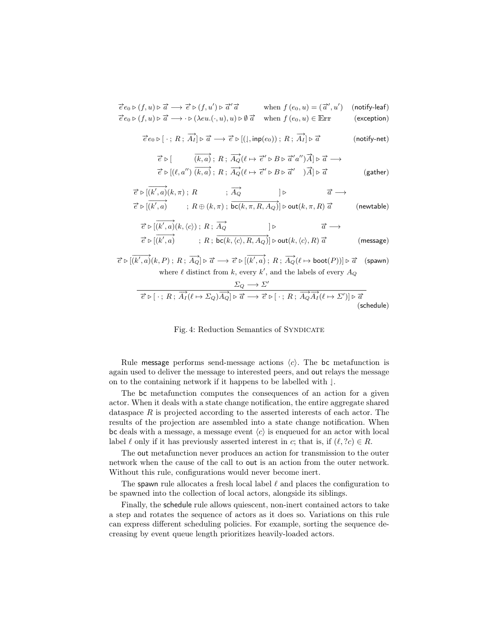<span id="page-8-0"></span> $\vec{e}e_0 \triangleright (f, u) \triangleright \vec{a} \longrightarrow \vec{e} \triangleright (f, u') \triangleright \vec{a}' \vec{a}$  when  $f(e_0, u) = (\vec{a}', u')$  (notify-leaf)  $\vec{e}e_0 \triangleright (f, u) \triangleright \vec{a} \longrightarrow \cdot \triangleright (\lambda eu.(\cdot, u), u) \triangleright \emptyset \vec{a}$  when  $f(e_0, u) \in \mathbb{E}\text{tr}$  (exception)  $\overrightarrow{e}e_0 \triangleright [\cdot; R; \overrightarrow{A_I}] \triangleright \overrightarrow{a} \longrightarrow \overrightarrow{e} \triangleright [(\downarrow, \mathsf{inp}(e_0)); R; \overrightarrow{A_I}] \triangleright$ (notify-net)  $\vec{e} \triangleright [\qquad \overrightarrow{(k,a)}; R; \overrightarrow{A_Q}(\ell \mapsto \overrightarrow{e}' \triangleright B \triangleright \overrightarrow{a}'a'') \overrightarrow{A}] \triangleright \overrightarrow{a} \longrightarrow$  $\vec{e} \triangleright [(\ell, a'') \overrightarrow{(k, a)}; R; \overrightarrow{A_Q}(\ell \mapsto \vec{e}' \triangleright B \triangleright \vec{a}'') \overrightarrow{A}] \triangleright$  $(gather)$  $\vec{e} \triangleright [\overrightarrow{(k',a)}]$  $\overrightarrow{(k',a)}(k,\pi); R \qquad ; \overrightarrow{A_Q} \qquad \qquad \vert \triangleright \qquad \qquad \overrightarrow{a} \longrightarrow$  $\overrightarrow{e} \triangleright [\overrightarrow{(k',a)}]$  $\overrightarrow{(k',a)}$  ;  $R \oplus (k, \pi)$ ;  $\overrightarrow{\text{bc}(k, \pi, R, A_Q)}$   $\triangleright$  out $(k, \pi, R)$ (newtable)  $\overrightarrow{e} \triangleright [\overrightarrow{(k',a)}$  $\overrightarrow{(k',a)}(k,\langle c\rangle)$ ;  $R$ ;  $\overrightarrow{A_Q}$   $\qquad \qquad$   $\qquad \qquad$  $\overrightarrow{a} \longrightarrow$  $\overrightarrow{e} \triangleright [\overrightarrow{(k',a)}]$  $(k', a)$  ; R;  $\overrightarrow{a}$  "  $\mathsf{bc}(k,\langle c\rangle,R,A_Q)]$   $\triangleright$   $\mathsf{out}(k,\langle c\rangle,R)$  $(message)$  $\overrightarrow{e} \triangleright [\overrightarrow{(k',a)}]$  $\overrightarrow{(k',a)}(k,P); R; \overrightarrow{A_Q} \triangleright \overrightarrow{a} \longrightarrow \overrightarrow{e} \triangleright [\overrightarrow{(k',a)}]$  $\overrightarrow{(k',a)}$ ;  $R$ ;  $\overrightarrow{A_Q}(\ell \mapsto \text{boot}(P))] \triangleright \overrightarrow{a}$  (spawn) where  $\ell$  distinct from k, every k', and the labels of every  $A_Q$  $\Sigma_Q \longrightarrow \Sigma'$  $\overrightarrow{e} \triangleright [\cdot; R; \overrightarrow{A_I}(\ell \mapsto \Sigma_Q) \overrightarrow{A_Q} \rhd \overrightarrow{a} \longrightarrow \overrightarrow{e} \triangleright [\cdot; R; \overrightarrow{A_Q} \overrightarrow{A_I}(\ell \mapsto \Sigma')] \triangleright \overrightarrow{a}$ (schedule)



Rule message performs send-message actions  $\langle c \rangle$ . The bc metafunction is again used to deliver the message to interested peers, and out relays the message on to the containing network if it happens to be labelled with  $\vert$ .

The bc metafunction computes the consequences of an action for a given actor. When it deals with a state change notification, the entire aggregate shared dataspace R is projected according to the asserted interests of each actor. The results of the projection are assembled into a state change notification. When bc deals with a message, a message event  $\langle c \rangle$  is enqueued for an actor with local label  $\ell$  only if it has previously asserted interest in c; that is, if  $(\ell, ?c) \in R$ .

The out metafunction never produces an action for transmission to the outer network when the cause of the call to out is an action from the outer network. Without this rule, configurations would never become inert.

The spawn rule allocates a fresh local label  $\ell$  and places the configuration to be spawned into the collection of local actors, alongside its siblings.

Finally, the schedule rule allows quiescent, non-inert contained actors to take a step and rotates the sequence of actors as it does so. Variations on this rule can express different scheduling policies. For example, sorting the sequence decreasing by event queue length prioritizes heavily-loaded actors.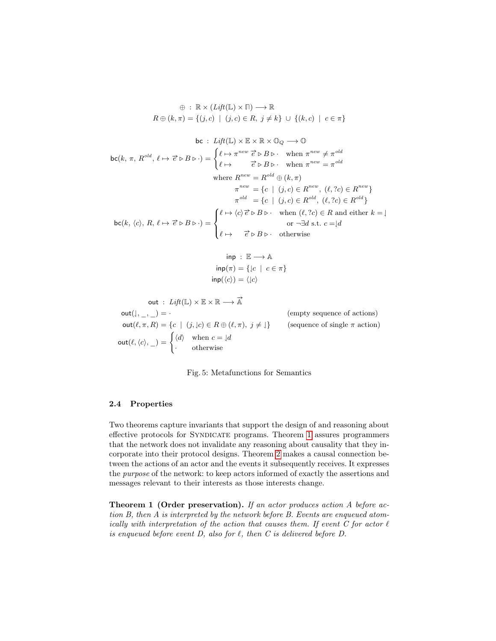$$
\oplus : \mathbb{R} \times (Lift(\mathbb{L}) \times \mathbb{I}) \longrightarrow \mathbb{R}
$$
  

$$
R \oplus (k, \pi) = \{ (j, c) \mid (j, c) \in R, j \neq k \} \cup \{ (k, c) \mid c \in \pi \}
$$

<span id="page-9-0"></span>
$$
\operatorname{bc}: \operatorname{Lift}(\mathbb{L}) \times \mathbb{E} \times \mathbb{R} \times \mathbb{Q}_Q \longrightarrow \mathbb{Q}
$$
\n
$$
\operatorname{bc}(k, \pi, R^{old}, \ell \mapsto \vec{e} \triangleright B \triangleright \cdot) = \begin{cases} \ell \mapsto \pi^{new} \; \vec{e} \triangleright B \triangleright \cdot \quad \text{when } \pi^{new} \neq \pi^{old} \\ \ell \mapsto \quad & \vec{e} \triangleright B \triangleright \cdot \quad \text{when } \pi^{new} = \pi^{old} \end{cases}
$$
\n
$$
\text{where } R^{new} = R^{old} \oplus (k, \pi)
$$
\n
$$
\pi^{new} = \{c \mid (j, c) \in R^{new}, (\ell, ?c) \in R^{new} \}
$$
\n
$$
\pi^{old} = \{c \mid (j, c) \in R^{old}, (\ell, ?c) \in R^{old} \}
$$
\n
$$
\operatorname{bc}(k, \langle c \rangle, R, \ell \mapsto \vec{e} \triangleright B \triangleright \cdot) = \begin{cases} \ell \mapsto \langle c \rangle \vec{e} \triangleright B \triangleright \cdot \quad \text{when } (\ell, ?c) \in R \text{ and either } k = 1 \\ \ell \mapsto \quad & \vec{e} \triangleright B \triangleright \cdot \quad \text{otherwise} \end{cases}
$$

$$
\mathsf{inp} : \mathbb{E} \longrightarrow \mathbb{A}
$$
\n
$$
\mathsf{inp}(\pi) = \{ |c \mid c \in \pi \}
$$
\n
$$
\mathsf{inp}(\langle c \rangle) = \langle |c \rangle
$$

$$
\begin{aligned}\n\text{out} : \text{ } \text{Lift}(\mathbb{L}) \times \mathbb{E} \times \mathbb{R} \longrightarrow \overrightarrow{\mathbb{A}} \\
\text{out}(J, \_, \_) &= \cdot \\
\text{out}(\ell, \pi, R) &= \{c \mid (j, |c) \in R \oplus (\ell, \pi), \ j \neq l\} \\
\text{out}(\ell, \langle c \rangle, \_) &= \begin{cases}\n\langle d \rangle & \text{when } c = |d \\
\text{.} & \text{otherwise}\n\end{cases}\n\end{aligned}\n\tag{sequence of single } \pi \text{ action}
$$

Fig. 5: Metafunctions for Semantics

### 2.4 Properties

Two theorems capture invariants that support the design of and reasoning about effective protocols for Syndicate programs. Theorem 1 assures programmers that the network does not invalidate any reasoning about causality that they incorporate into their protocol designs. Theorem 2 makes a causal connection between the actions of an actor and the events it subsequently receives. It expresses the purpose of the network: to keep actors informed of exactly the assertions and messages relevant to their interests as those interests change.

Theorem 1 (Order preservation). If an actor produces action A before action B, then A is interpreted by the network before B. Events are enqueued atomically with interpretation of the action that causes them. If event C for actor  $\ell$ is enqueued before event D, also for  $\ell$ , then C is delivered before D.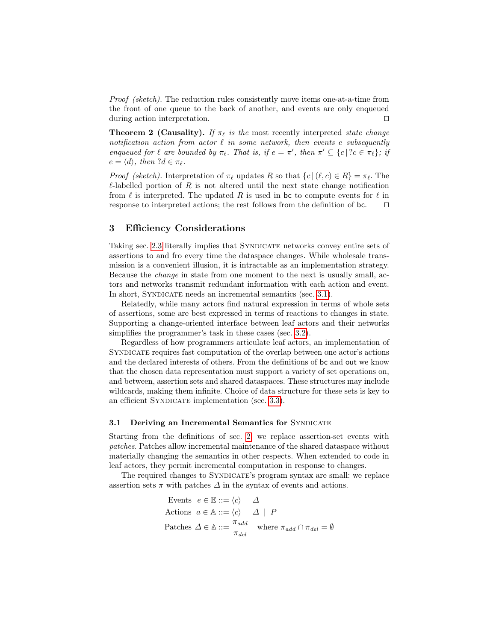Proof (sketch). The reduction rules consistently move items one-at-a-time from the front of one queue to the back of another, and events are only enqueued during action interpretation.  $\Box$ 

**Theorem 2 (Causality).** If  $\pi_{\ell}$  is the most recently interpreted state change notification action from actor  $\ell$  in some network, then events e subsequently enqueued for  $\ell$  are bounded by  $\pi_{\ell}$ . That is, if  $e = \pi'$ , then  $\pi' \subseteq \{c \mid ?c \in \pi_{\ell}\}\;$ ; if  $e = \langle d \rangle$ , then  $?d \in \pi_{\ell}$ .

<span id="page-10-0"></span>*Proof (sketch)*. Interpretation of  $\pi_{\ell}$  updates R so that  $\{c \mid (\ell, c) \in R\} = \pi_{\ell}$ . The  $\ell$ -labelled portion of R is not altered until the next state change notification from  $\ell$  is interpreted. The updated R is used in bc to compute events for  $\ell$  in response to interpreted actions; the rest follows from the definition of  $bc$ .  $\Box$ 

## 3 Efficiency Considerations

Taking sec. 2.3 literally implies that [Syn](#page-10-1)dicate networks convey entire sets of assertions to and fro every time the dataspace changes. While wholesale transmission is a convenient illusion, it is intractable as an implementation strategy. Because the change in state from one moment to the next is usually small, actors and networks transmit red[und](#page-14-1)ant information with each action and event. In short, SYNDICATE needs an incremental semantics (sec. 3.1).

Relatedly, while many actors find natural expression in terms of whole sets of assertions, some are best expressed in terms of reactions to changes in state. Supporting a change-oriented interface between leaf actors and their networks simplifies the programmer's task in these cases (sec. 3.2).

<span id="page-10-1"></span>Regardless of how programmers articulate leaf actors, an implementation of Syndicate requires fas[t com](#page-14-0)putation of the overlap between one actor's actions and the declared interests of others. From the definitions of bc and out we know that the chosen data representation must support a variety of set operations on, and between, ass[ert](#page-1-0)ion sets and shared dataspaces. These structures may include wildcards, making them infinite. Choice of data structure for these sets is key to an efficient SYNDICATE implementation (sec. 3.3).

#### 3.1 Deriving an Incremental Semantics for SYNDICATE

Starting from the definitions of sec. 2, we replace assertion-set events with patches. Patches allow incremental maintenance of the shared dataspace without materially changing the semantics in other respects. When extended to code in leaf actors, they permit incremental computation in response to changes.

The required changes to SYNDICATE's program syntax are small: we replace assertion sets  $\pi$  with patches  $\Delta$  in the syntax of events and actions.

Events 
$$
e \in \mathbb{E} ::= \langle c \rangle \mid \Delta
$$

\nActions  $a \in \mathbb{A} ::= \langle c \rangle \mid \Delta \mid P$ 

\nPatches  $\Delta \in \mathbb{A} ::= \frac{\pi_{add}}{\pi_{del}}$  where  $\pi_{add} \cap \pi_{del} = \emptyset$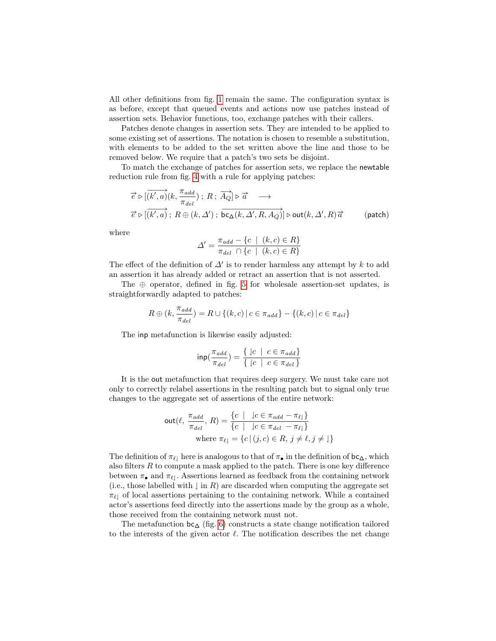All other definitions from fig. 1 remain the same. The configuration syntax is as before, except that queued events and actions now use patches instead of assertion sets. Behavior functions, too, exchange patches with their callers.

[P](#page-8-0)atches denote changes in assertion sets. They are intended to be applied to some existing set of assertions. The notation is chosen to resemble a substitution, with elements to be added to the set written above the line and those to be removed below. We require that a patch's two sets be disjoint.

To match the exchange of patches for assertion sets, we replace the newtable reduction rule from fig. 4 with a rule for applying patches:

$$
\overrightarrow{e} \triangleright \left[ \overrightarrow{(k',a)}(k, \frac{\pi_{add}}{\pi_{del}}) \; ; \; R \; ; \; \overrightarrow{A_Q} \right] \triangleright \overrightarrow{a} \longrightarrow
$$
\n
$$
\overrightarrow{e} \triangleright \left[ \overrightarrow{(k',a)} \; ; \; R \oplus (k, \Delta') \; ; \; \overrightarrow{bc_{\Delta}(k, \Delta', R, A_Q)} \right] \triangleright \text{out}(k, \Delta', R) \overrightarrow{a} \qquad \text{(patch)}
$$

where

$$
\Delta' = \frac{\pi_{add} - \{c \mid (k, c) \in R\}}{\pi_{del} \cap \{c \mid (k, c) \in R\}}
$$

The effect of the definition of  $\Delta'$  is to render harmless any attempt by k to add an assertion it has already added or retract an assertion that is not asserted.

The ⊕ operator, defined in fig. 5 for wholesale assertion-set updates, is straightforwardly adapted to patches:

$$
R \oplus (k, \frac{\pi_{add}}{\pi_{del}}) = R \cup \{(k, c) \mid c \in \pi_{add}\} - \{(k, c) \mid c \in \pi_{del}\}\
$$

The inp metafunction is likewise easily adjusted:

$$
\text{inp}(\frac{\pi_{add}}{\pi_{del}}) = \frac{\{ \ |c \ | \ c \in \pi_{add} \}}{\{ \ |c \ | \ c \in \pi_{del} \}}
$$

It is the out metafunction that requires deep surgery. We must take care not only to correctly relabel assertions in the resulting patch but to signal only true changes to the aggregate set of assertions of the entire network:

$$
\begin{aligned} \text{out}(\ell, \frac{\pi_{add}}{\pi_{del}}, R) &= \frac{\{c \mid \exists c \in \pi_{add} - \pi_{\ell} \}}{\{c \mid \exists c \in \pi_{del} - \pi_{\ell} \}} \\ \text{where } \pi_{\ell} &= \{c \mid (j, c) \in R, \ j \neq \ell, j \neq \ell \} \end{aligned}
$$

The definition of  $\pi_{\ell}$  here is analogous to that of  $\pi_{\bullet}$  in the definition of bc<sub>△</sub>, which also filters  $R$  to compute a mask applied to the patch. There is one key difference between  $\pi_{\bullet}$  and  $\pi_{\ell}$ . Assertions learned as feedback from the containing network (i.e., those labelled with  $\vert$  in R) are discarded when computing the aggregate set  $\pi_{\ell}$  of local assertions pertaining to the containing network. While a contained actor's assertions feed directly into the assertions made by the group as a whole, those received from the containing network must not.

The metafunction  $bc_{\Delta}$  (fig. 6) constructs a state change notification tailored to the interests of the given actor  $\ell$ . The notification describes the net change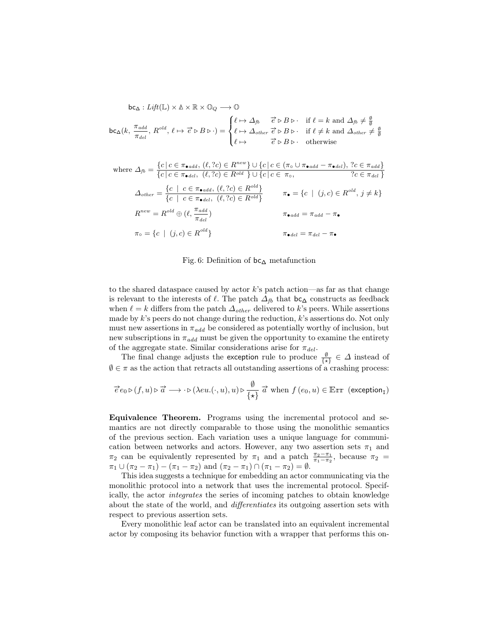<span id="page-12-0"></span>
$$
\mathsf{bc}_{\Delta}: \mathit{Lift}(\mathbb{L}) \times \mathbb{A} \times \mathbb{R} \times \mathbb{O}_{Q} \longrightarrow \mathbb{O}
$$
\n
$$
\mathsf{bc}_{\Delta}(k, \frac{\pi_{add}}{\pi_{del}}, R^{old}, \ell \mapsto \vec{e} \triangleright B \triangleright \cdot) = \begin{cases} \ell \mapsto \Delta_{fb} & \vec{e} \triangleright B \triangleright \cdot \text{ if } \ell = k \text{ and } \Delta_{fb} \neq \frac{\emptyset}{\emptyset} \\ \ell \mapsto \Delta_{other} & \vec{e} \triangleright B \triangleright \cdot \text{ if } \ell \neq k \text{ and } \Delta_{other} \neq \frac{\emptyset}{\emptyset} \end{cases}
$$

where 
$$
\Delta_{fb} = \frac{\{c \mid c \in \pi_{\bullet add}, (\ell, ?c) \in R^{new}\} \cup \{c \mid c \in (\pi_{\circ} \cup \pi_{\bullet add} - \pi_{\bullet del}), ?c \in \pi_{add}\}}{\{c \mid c \in \pi_{\bullet del}, (\ell, ?c) \in R^{old} \} \cup \{c \mid c \in \pi_{\circ}, \qquad ?c \in \pi_{del}\}}
$$

$$
\Delta_{other} = \frac{\{c \mid c \in \pi_{\bullet add}, (\ell, ?c) \in R^{old}\}}{\{c \mid c \in \pi_{\bullet del}, (\ell, ?c) \in R^{old}\}} \qquad \pi_{\bullet} = \{c \mid (j, c) \in R^{old}, j \neq k\}
$$

$$
R^{new} = R^{old} \oplus (\ell, \frac{\pi_{add}}{\pi_{del}}) \qquad \pi_{\bullet add} = \pi_{add} - \pi_{\bullet}
$$

$$
\pi_{\bullet del} = \pi_{del} - \pi_{\bullet}
$$

Fig. 6: Definition of bc<sup>∆</sup> metafunction

to the shared dataspace caused by actor k's patch action—as far as that change is relevant to the interests of  $\ell$ . The patch  $\Delta_{fb}$  that  $bc_{\Delta}$  constructs as feedback when  $\ell = k$  differs from the patch  $\Delta_{other}$  delivered to k's peers. While assertions made by  $k$ 's peers do not change during the reduction,  $k$ 's assertions do. Not only must new assertions in  $\pi_{add}$  be considered as potentially worthy of inclusion, but new subscriptions in  $\pi_{add}$  must be given the opportunity to examine the entirety of the aggregate state. Similar considerations arise for  $\pi_{del}$ .

The final change adjusts the exception rule to produce  $\frac{\emptyset}{\{\star\}} \in \Delta$  instead of  $\emptyset \in \pi$  as the action that retracts all outstanding assertions of a crashing process:

$$
\vec{e}e_0 \triangleright (f, u) \triangleright \vec{a} \longrightarrow \cdot \triangleright (\lambda eu.(\cdot, u), u) \triangleright \frac{\emptyset}{\{\star\}} \vec{a} \text{ when } f(e_0, u) \in \mathbb{Err} \text{ (exceptionI)}
$$

Equivalence Theorem. Programs using the incremental protocol and semantics are not directly comparable to those using the monolithic semantics of the previous section. Each variation uses a unique language for communication between networks and actors. However, any two assertion sets  $\pi_1$  and π<sub>2</sub> can be equivalently represented by  $π_1$  and a patch  $\frac{π_2-π_1}{π_1-π_2}$ , because  $π_2$  $\pi_1 \cup (\pi_2 - \pi_1) - (\pi_1 - \pi_2)$  and  $(\pi_2 - \pi_1) \cap (\pi_1 - \pi_2) = \emptyset$ .

This idea suggests a technique for embedding an actor communicating via the monolithic protocol into a network that uses the incremental protocol. Specifically, the actor integrates the series of incoming patches to obtain knowledge about the state of the world, and *differentiates* its outgoing assertion sets with respect to previous assertion sets.

Every monolithic leaf actor can be translated into an equivalent incremental actor by composing its behavior function with a wrapper that performs this on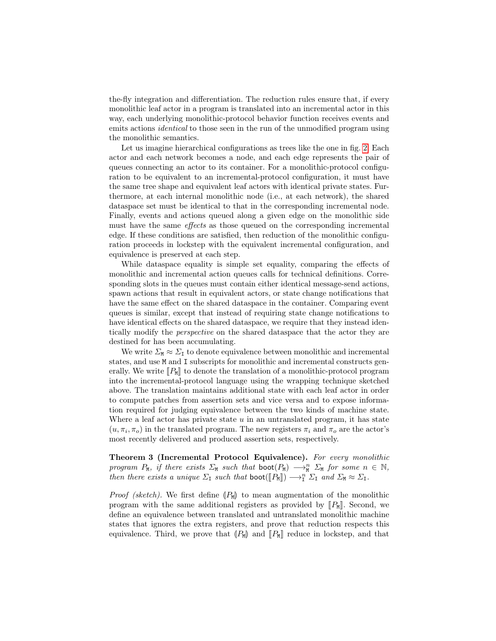the-fly integration and differentiation. The reducti[on](#page-5-0) rules ensure that, if every monolithic leaf actor in a program is translated into an incremental actor in this way, each underlying monolithic-protocol behavior function receives events and emits actions *identical* to those seen in the run of the unmodified program using the monolithic semantics.

Let us imagine hierarchical configurations as trees like the one in fig. 2. Each actor and each network becomes a node, and each edge represents the pair of queues connecting an actor to its container. For a monolithic-protocol configuration to be equivalent to an incremental-protocol configuration, it must have the same tree shape and equivalent leaf actors with identical private states. Furthermore, at each internal monolithic node (i.e., at each network), the shared dataspace set must be identical to that in the corresponding incremental node. Finally, events and actions queued along a given edge on the monolithic side must have the same *effects* as those queued on the corresponding incremental edge. If these conditions are satisfied, then reduction of the monolithic configuration proceeds in lockstep with the equivalent incremental configuration, and equivalence is preserved at each step.

While dataspace equality is simple set equality, comparing the effects of monolithic and incremental action queues calls for technical definitions. Corresponding slots in the queues must contain either identical message-send actions, spawn actions that result in equivalent actors, or state change notifications that have the same effect on the shared dataspace in the container. Comparing event queues is similar, except that instead of requiring state change notifications to have identical effects on the shared dataspace, we require that they instead identically modify the perspective on the shared dataspace that the actor they are destined for has been accumulating.

<span id="page-13-0"></span>We write  $\Sigma_{\text{M}} \approx \Sigma_{\text{I}}$  to denote equivalence between monolithic and incremental states, and use M and I subscripts for monolithic and incremental constructs generally. We write  $\llbracket P_M \rrbracket$  to denote the translation of a monolithic-protocol program into the incremental-protocol language using the wrapping technique sketched above. The translation maintains additional state with each leaf actor in order to compute patches from assertion sets and vice versa and to expose information required for judging equivalence between the two kinds of machine state. Where a leaf actor has private state  $u$  in an untranslated program, it has state  $(u, \pi_i, \pi_o)$  in the translated program. The new registers  $\pi_i$  and  $\pi_o$  are the actor's most recently delivered and produced assertion sets, respectively.

Theorem 3 (Incremental Protocol Equivalence). For every monolithic program  $P_M$ , if there exists  $\Sigma_M$  such that  $\text{boot}(P_M) \longrightarrow_M^n \Sigma_M$  for some  $n \in \mathbb{N}$ , then there exists a unique  $\Sigma_{\text{I}}$  such that boot( $[\![P_M]\!]$ )  $\longrightarrow_{\text{I}}^n \Sigma_{\text{I}}$  and  $\Sigma_{\text{M}} \approx \Sigma_{\text{I}}$ .

*Proof (sketch)*. We first define  $\langle P_M \rangle$  to mean augmentation of the monolithic program with the same additional registers as provided by  $[P_M]$ . Second, we define an equivalence between translated and untranslated monolithic machine states that ignores the extra registers, and prove that reduction respects this equivalence. Third, we prove that  $\|P_M\|$  and  $\|P_M\|$  reduce in lockstep, and that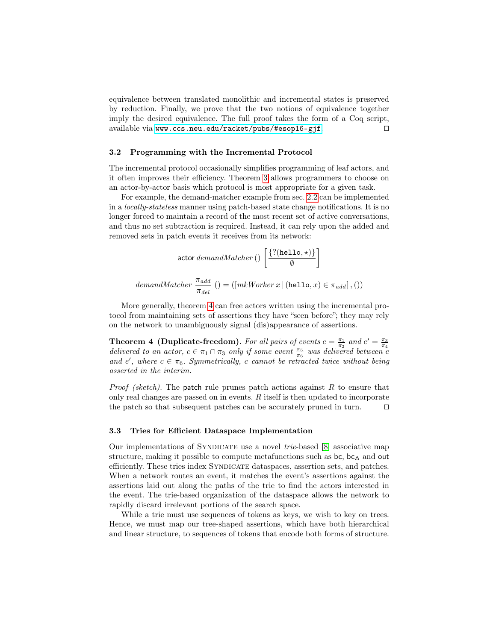<span id="page-14-1"></span>equivalence between translated monolithic and incremental states is preserved by reduction. Finally, we prove that the two notions of equivalence together imply the desired equivalence. The full proof takes the form of a Coq script, available via www.ccs[.n](#page-13-0)eu.edu/racket/pubs/#esop16-gjf.

#### 3.2 Programming with the I[ncre](#page-3-0)mental Protocol

The incremental protocol occasionally simplifies programming of leaf actors, and it often improves their efficiency. Theorem 3 allows programmers to choose on an actor-by-actor basis which protocol is most appropriate for a given task.

For example, the demand-matcher example from sec. 2.2 can be implemented in a locally-stateless manner using patch-based state change notifications. It is no longer forced to maintain a record of the most recent set of active conversations, and thus no set subtraction is required. Instead, it can rely upon the added and removed sets in patch events it receives from its network:

$$
\text{actor } demandMatcher\left() \left[ \frac{\{?(\texttt{hello},\star)\}}{\emptyset} \right] \right.
$$

$$
demandMatcher \frac{\pi_{add}}{\pi_{del}}\left( \right) = \left( \left[ mkWorker x \mid \left( \text{hello}, x \right) \in \pi_{add} \right], \left( \right) \right)
$$

More generally, theorem 4 can free actors written using the incremental protocol from maintaining sets of assertions they have "seen before"; they may rely on the network to unambiguously signal (dis)appearance of assertions.

**Theorem 4 (Duplicate-freedom).** For all pairs of events  $e = \frac{\pi_1}{\pi_2}$  and  $e' = \frac{\pi_3}{\pi_4}$ <br>delivered to an actor,  $c \in \pi_1 \cap \pi_3$  only if some event  $\frac{\pi_5}{\pi_6}$  was delivered between e and e', where  $c \in \pi_6$ . Symmetrically, c cannot be retracted twice without being asserted in the interim.

<span id="page-14-0"></span>*Proof (sketch)*. The **patch** rule prunes patch actions against  $R$  to ensure that only real changes are passed on in event[s.](#page-25-4)  $R$  itself is then updated to incorporate the patch so that subsequent patches can be accurately pruned in turn.  $\square$ 

#### 3.3 Tries for Efficient Dataspace Implementation

Our implementations of SYNDICATE use a novel *trie*-based [8] associative map structure, making it possible to compute metafunctions such as  $bc$ ,  $bc<sub>Δ</sub>$  and out efficiently. These tries index SYNDICATE dataspaces, assertion sets, and patches. When a network routes an event, it matches the event's assertions against the assertions laid out along the paths of the trie to find the actors interested in the event. The trie-based organization of the dataspace allows the network to rapidly discard irrelevant portions of the search space.

While a trie must use sequences of tokens as keys, we wish to key on trees. Hence, we must map our tree-shaped assertions, which have both hierarchical and linear structure, to sequences of tokens that encode both forms of structure.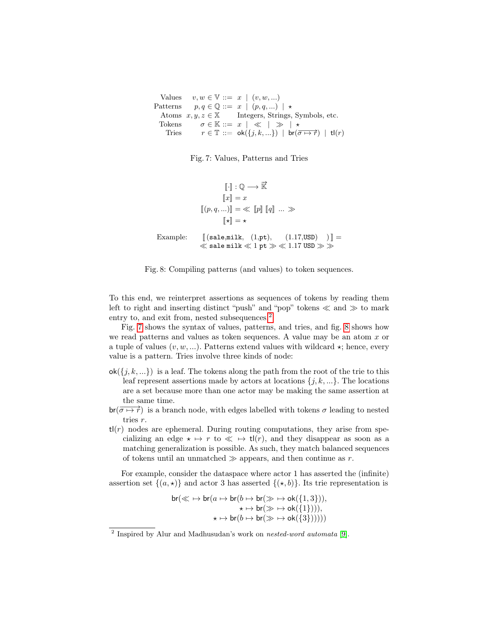<span id="page-15-1"></span>Values  $v, w \in \mathbb{V} ::= x \mid (v, w, ...)$ Patterns  $p, q \in \mathbb{Q} ::= x \mid (p, q, ...) \mid \star$ Atoms  $x, y, z \in \mathbb{X}$  Integers, Strings, Symbols, etc. Tokens  $\sigma \in \mathbb{K} ::= x \mid \mathbb{K} \mid \mathbb{R} \mid$  \* Tries  $r \in \mathbb{T}$  ::=  $ok(\lbrace j, k, ...\rbrace)$  |  $br(\overrightarrow{\sigma \mapsto r})$  | tl(r)

Fig. 7: Values, Patterns and Tries

$$
\begin{aligned}\n\llbracket \cdot \rrbracket : \mathbb{Q} \longrightarrow \mathbb{\vec{K}} \\
\llbracket x \rrbracket & = x \\
\llbracket (p, q, \ldots) \rrbracket & = \ll \llbracket p \rrbracket \llbracket q \rrbracket \; \ldots \; \gg \\
\llbracket * \rrbracket & = * \\
\llbracket \text{example:} \qquad \llbracket \text{(safe, milk, (1,pt), (1.17,USD) ) } \rrbracket = \\
& \ll \text{ sale milk} \ll 1 \text{ pt} \gg \ll 1.17 \text{ USD} \gg \gg\n\end{aligned}
$$

Fig. 8: Compi[lin](#page-15-0)g patterns (and val[ue](#page-15-1)s) to token sequences.

To this end, we reinterpret assertions as sequences of tokens by reading them left to right and inserting distinct "push" and "pop" tokens  $\ll$  and  $\gg$  to mark entry to, and exit from, nested subsequences.<sup>2</sup>

Fig. 7 shows the syntax of values, patterns, and tries, and fig. 8 shows how we read patterns and values as token sequences. A value may be an atom  $x$  or a tuple of values  $(v, w, ...)$ . Patterns extend values with wildcard  $\star$ ; hence, every value is a pattern. Tries involve three kinds of node:

- $ok(\lbrace i, k, \ldots \rbrace)$  is a leaf. The tokens along the path from the root of the trie to this leaf represent assertions made by actors at locations  $\{j, k, ...\}$ . The locations are a set because more than one actor may be making the same assertion at the same time.
- br( $\overline{\sigma \mapsto \overrightarrow{r}}$ ) is a branch node, with edges labelled with tokens  $\sigma$  leading to nested tries r.
- $t(r)$  nodes are ephemeral. During routing computations, they arise from specializing an edge  $\star \mapsto r$  to  $\ll \mapsto$  tl(r), and they disappear as soon as a matching generalization is possible. As such, they match balanced sequences of tokens until an unmatched  $\gg$  appears, and then continue as r.

<span id="page-15-0"></span>For example, consider the dataspace where actor 1 has asserted the (infinite) assertion set  $\{(a, \star)\}\$  an[d](#page-25-5) actor 3 has asserted  $\{(\star, b)\}\$ . Its trie representation is

$$
\text{br}(\ll \,\, \mapsto \, \text{br}(a \mapsto \text{br}(b \mapsto \text{br}(\gg \,\, \mapsto \, \text{ok}(\{1,3\})), \\ \star \mapsto \, \text{br}(\gg \,\, \mapsto \, \text{ok}(\{1\}))), \\ \star \mapsto \, \text{br}(b \mapsto \text{br}(\gg \,\, \mapsto \, \text{ok}(\{3\}))))
$$

<sup>&</sup>lt;sup>2</sup> Inspired by Alur and Madhusudan's work on *nested-word automata* [9].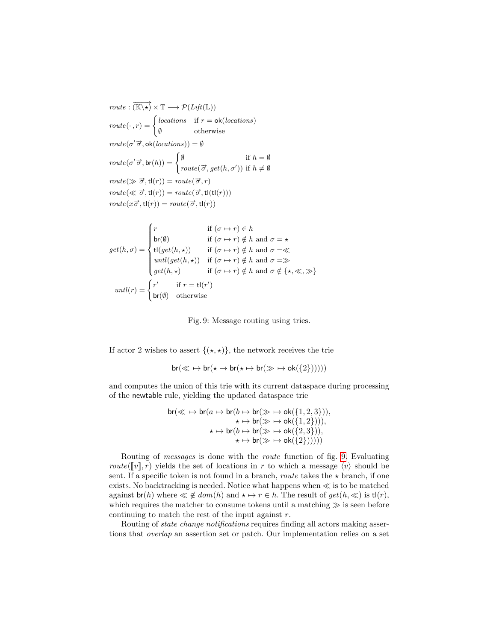<span id="page-16-0"></span> $route : \overrightarrow{(\mathbb{K}\setminus\star)} \times \mathbb{T} \longrightarrow \mathcal{P}(Lift(\mathbb{L}))$  $route(\cdot, r) = \begin{cases} locations & \text{if } r = \text{ok}(locations) \\ a & \text{otherwise} \end{cases}$ ∅ otherwise  $route(\sigma' \vec{\sigma}, \text{ok}(locations)) = \emptyset$  $route(\sigma' \vec{\sigma}, br(h)) = \begin{cases} \emptyset & \text{if } h = \emptyset \\ 0 & \text{if } h = \emptyset \end{cases}$  $route(\vec{\sigma}, get(h, \sigma'))$  if  $h \neq \emptyset$  $route(\gg \vec{\sigma}, \text{tl}(r)) = route(\vec{\sigma}, r)$  $route(\ll \vec{\sigma}, \mathsf{tI}(r)) = route(\vec{\sigma}, \mathsf{tI}(\mathsf{tI}(r)))$  $route(x\vec{\sigma}, t|(r)) = route(\vec{\sigma}, t|(r))$ 

$$
get(h, \sigma) = \begin{cases} r & \text{if } (\sigma \mapsto r) \in h \\ \text{br}(\emptyset) & \text{if } (\sigma \mapsto r) \notin h \text{ and } \sigma = \star \\ \text{tl}(get(h, \star)) & \text{if } (\sigma \mapsto r) \notin h \text{ and } \sigma = \ll \\ \text{untl}(get(h, \star)) & \text{if } (\sigma \mapsto r) \notin h \text{ and } \sigma = \gg \\ get(h, \star) & \text{if } (\sigma \mapsto r) \notin h \text{ and } \sigma \notin \{\star, \ll, \gg\} \\ \text{untl}(r) = \begin{cases} r' & \text{if } r = \text{tl}(r') \\ \text{br}(\emptyset) & \text{otherwise} \end{cases} \end{cases}
$$

Fig. 9: Message routing using tries.

If actor 2 wishes to assert  $\{(\star,\star)\}\,$ , the network receives the trie

 $br(\ll \rightarrow br(\star \rightarrow br(\star \rightarrow br(\gg \rightarrow ok(\{2\}))))$ 

and computes the union of this trie with its current dataspace during processing of the newtable rule, yielding the updated dataspace trie

$$
\text{br}(\ll \; \mapsto \text{br}(a \mapsto \text{br}(b \mapsto \text{br}(\gg \; \mapsto \text{ok}(\{1, 2, 3\})),\newline \star \mapsto \text{br}(\gg \; \mapsto \text{ok}(\{1, 2\}))),\newline \star \mapsto \text{br}(b \mapsto \text{br}(\gg \; \mapsto \text{ok}(\{2, 3\})),\newline \star \mapsto \text{br}(\gg \; \mapsto \text{ok}(\{2\}))))))
$$

Routing of messages is done with the route function of fig. 9. Evaluating route( $[v], r$ ) yields the set of locations in r to which a message  $\langle v \rangle$  should be sent. If a specific token is not found in a branch, *route* takes the  $\star$  branch, if one exists. No backtracking is needed. Notice what happens when  $\ll$  is to be matched against  $\mathsf{br}(h)$  where  $\ll \notin dom(h)$  and  $\star \mapsto r \in h$ . The result of  $get(h, \ll)$  is  $\mathsf{tl}(r)$ , which requires the matcher to consume tokens until a matching  $\gg$  is seen before continuing to match the rest of the input against  $r$ .

Routing of state change notifications requires finding all actors making assertions that overlap an assertion set or patch. Our implementation relies on a set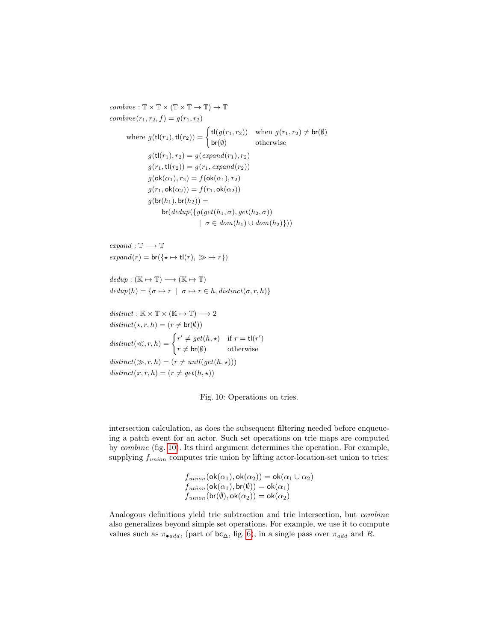<span id="page-17-0"></span> $combine: \mathbb{T} \times \mathbb{T} \times (\mathbb{T} \times \mathbb{T} \to \mathbb{T}) \to \mathbb{T}$  $combine(r_1, r_2, f) = g(r_1, r_2)$ where  $g(\mathsf{tl}(r_1), \mathsf{tl}(r_2)) = \begin{cases} \mathsf{tl}(g(r_1, r_2)) & \text{when } g(r_1, r_2) \neq \mathsf{br}(\emptyset) \\ \mathsf{t}(g(r_1, r_2)) & \text{when } g(r_1, r_2) \neq \mathsf{br}(\emptyset) \end{cases}$ br(∅) otherwise  $g(t|(r_1), r_2) = g(expand(r_1), r_2)$  $g(r_1, t l(r_2)) = g(r_1, expand(r_2))$  $g(\mathsf{ok}(\alpha_1), r_2) = f(\mathsf{ok}(\alpha_1), r_2)$  $g(r_1, \text{ok}(\alpha_2)) = f(r_1, \text{ok}(\alpha_2))$  $g(br(h_1), br(h_2)) =$ br(dedup( $\{g(get(h_1, \sigma), get(h_2, \sigma))\}$  $\sigma \in dom(h_1) \cup dom(h_2)\})$ 

 $expand: \mathbb{T} \longrightarrow \mathbb{T}$  $expand(r) = br(\{\star \mapsto tl(r), \gg \mapsto r\})$ 

 $dedup : (\mathbb{K} \mapsto \mathbb{T}) \longrightarrow (\mathbb{K} \mapsto \mathbb{T})$  $dedup(h) = \{\sigma \mapsto r \mid \sigma \mapsto r \in h,$  distinct $(\sigma, r, h)\}$ 

 $distinct : \mathbb{K} \times \mathbb{T} \times (\mathbb{K} \mapsto \mathbb{T}) \longrightarrow 2$  $distinct(\star, r, h) = (r \neq br(\emptyset))$  $distinct(\ll, r, h) = \begin{cases} r' \neq get(h, \star) & \text{if } r = \mathsf{tl}(r') \end{cases}$  $r \neq \mathsf{br}(\emptyset)$  otherwise  $distinct(\gg, r, h) = (r \neq until(get(h, \star)))$  $distinct(x, r, h) = (r \neq get(h, \star))$ 

Fig. 10: Operations on tries.

intersection calculation, as does the subsequent filtering needed before enqueueing a patch event for an actor. Such set operations on trie maps are computed by combine (fig. 10). Its third argument determines the operation. For example, supplying  $f_{union}$  computes trie union by lifting actor-location-set union to tries:

> $f_{union}(\mathsf{ok}(\alpha_1), \mathsf{ok}(\alpha_2)) = \mathsf{ok}(\alpha_1 \cup \alpha_2)$  $f_{union}(\mathsf{ok}(\alpha_1), \mathsf{br}(\emptyset)) = \mathsf{ok}(\alpha_1)$  $f_{union}(\mathsf{br}(\emptyset), \mathsf{ok}(\alpha_2)) = \mathsf{ok}(\alpha_2)$

Analogous definitions yield trie subtraction and trie intersection, but combine also generalizes beyond simple set operations. For example, we use it to compute values such as  $\pi_{\bullet add}$ , (part of bc<sub>∆</sub>, fig. 6), in a single pass over  $\pi_{add}$  and R.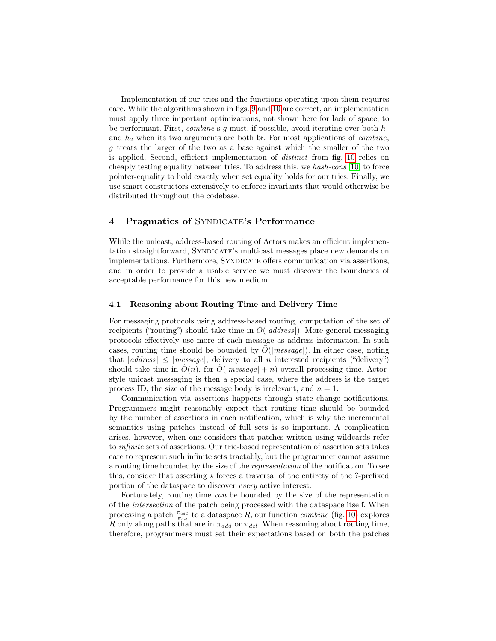Implementation of our tries and the functions operating upon them requires care. While the algorithms shown in figs. 9 and [10](#page-17-0) are correct, an implementation must apply three important optimizations, not [sho](#page-25-6)wn here for lack of space, to be performant. First, *combine's g* must, if possible, avoid iterating over both  $h_1$ and  $h_2$  when its two arguments are both br. For most applications of *combine*, g treats the larger of the two as a base against which the smaller of the two is applied. Second, efficient implementation of distinct from fig. 10 relies on cheaply testing equality between tries. To address this, we hash-cons [10] to force pointer-equality to hold exactly when set equality holds for our tries. Finally, we use smart constructors extensively to enforce invariants that would otherwise be distributed throughout the codebase.

## <span id="page-18-0"></span>4 Pragmatics of SYNDICATE's Performance

While the unicast, address-based routing of Actors makes an efficient implementation straightforward, Syndicate's multicast messages place new demands on implementations. Furthermore, Syndicate offers communication via assertions, and in order to provide a usable service we must discover the boundaries of acceptable performance for this new medium.

#### 4.1 Reasoning about Routing Time and Delivery Time

For messaging protocols using address-based routing, computation of the set of recipients ("routing") should take time in  $O(|address|)$ . More general messaging protocols effectively use more of each message as address information. In such cases, routing time should be bounded by  $O(|\text{message}|)$ . In either case, noting that  $|address| \leq |message|$ , delivery to all *n* interested recipients ("delivery") should take time in  $O(n)$ , for  $O(|\text{message}| + n)$  overall processing time. Actorstyle unicast messaging is then a special case, where the address is the target process ID, the size of the message body is irrelevant, and  $n = 1$ .

Communication via assertions happens through state change notifications. Programmers might reasonably expect that routing time should be bounded by the number of assertions in each notification, which is why the incremental semantics using patches instead of full sets is so important. A complication arises, however, when one considers that patches written using wildcards refer to infinite sets of assertions. Our trie-based representation of assertion sets takes care to represent such infinite sets tractably, but the programmer cannot assume a routing time bounded by the size of the repres[ent](#page-17-0)ation of the notification. To see this, consider that asserting  $\star$  forces a traversal of the entirety of the ?-prefixed portion of the dataspace to discover every active interest.

Fortunately, routing time can be bounded by the size of the representation of the intersection of the patch being processed with the dataspace itself. When processing a patch  $\frac{\pi_{add}}{\pi_{del}}$  to a dataspace R, our function *combine* (fig. 10) explores R only along paths that are in  $\pi_{add}$  or  $\pi_{del}$ . When reasoning about routing time, therefore, programmers must set their expectations based on both the patches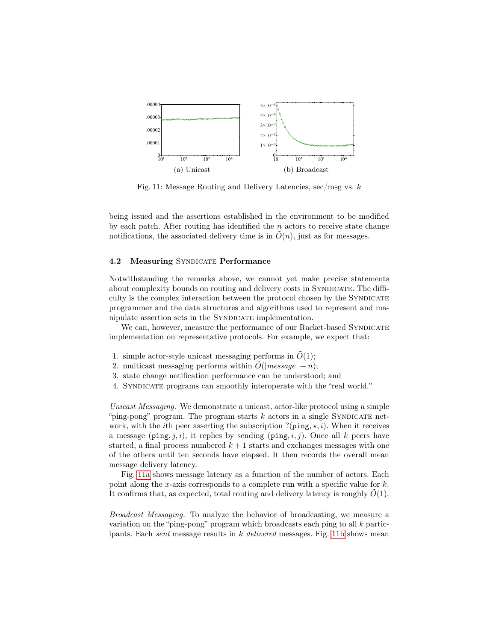<span id="page-19-0"></span>

Fig. 11: Message Routing and Delivery Latencies,  $\sec/\text{msg}$  vs.  $k$ 

being issued and the assertions established in the environment to be modified by each patch. After routing has identified the  $n$  actors to receive state change notifications, the associated delivery time is in  $\tilde{O}(n)$ , just as for messages.

### 4.2 Measuring SYNDICATE Performance

Notwithstanding the remarks above, we cannot yet make precise statements about complexity bounds on routing and delivery costs in SYNDICATE. The difficulty is the complex interaction between the protocol chosen by the SYNDICATE programmer and the data structures and algorithms used to represent and manipulate assertion sets in the SYNDICATE implementation.

We can, however, measure the performance of our Racket-based SYNDICATE implementation on representative protocols. For example, we expect that:

- 1. simple actor-style unicast messaging performs in  $O(1)$ ;
- 2. multicast messaging performs within  $\tilde{O}(|\text{message}| + n);$
- 3. state change notification performance can be understood; and
- 4. Syndicate programs can smoothly interoperate with the "real world."

Unicast Messaging. We demonstrate a unicast, actor-like protocol using a simple "ping-pong" program. The program starts  $k$  actors in a single SYNDICATE network, with the *i*th peer asserting the subscription ?( $\text{ping}, \star, i$ ). When it receives a message (ping, *j*, *i*), it replies by sending (ping, *i*, *j*). Once all k peers have started, a final process numbered  $k + 1$  starts and exchanges messages with one of the others until ten seconds have elapsed. It then records the overall mean message delivery latency.

Fig. 11a shows message latency as a function of the number of actors. Each point along the x-axis corresponds to a co[mple](#page-19-0)te run with a specific value for  $k$ . It confirms that, as expected, total routing and delivery latency is roughly  $O(1)$ .

Broadcast Messaging. To analyze the behavior of broadcasting, we measure a variation on the "ping-pong" program which broadcasts each ping to all  $k$  participants. Each *sent* message results in  $k$  delivered messages. Fig. 11b shows mean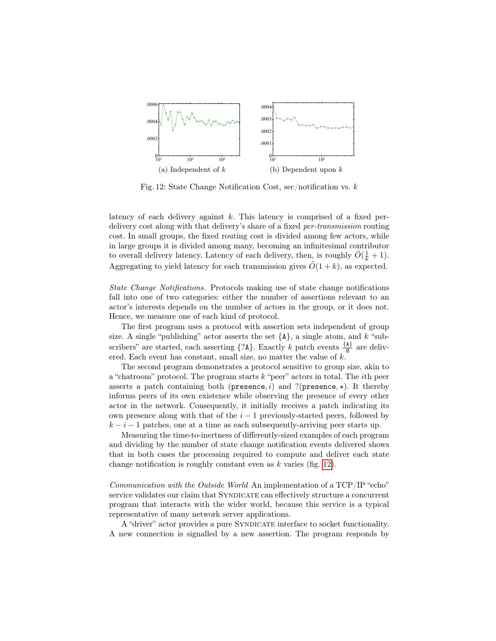<span id="page-20-0"></span>

Fig. 12: State Change Notification Cost,  $sec/notification$  vs.  $k$ 

latency of each delivery against  $k$ . This latency is comprised of a fixed perdelivery cost along with that delivery's share of a fixed per-transmission routing cost. In small groups, the fixed routing cost is divided among few actors, while in large groups it is divided among many, becoming an infinitesimal contributor to overall delivery latency. Latency of each delivery, then, is roughly  $\tilde{O}(\frac{1}{k}+1)$ . Aggregating to yield latency for each transmission gives  $\tilde{O}(1 + k)$ , as expected.

State Change Notifications. Protocols making use of state change notifications fall into one of two categories: either the number of assertions relevant to an actor's interests depends on the number of actors in the group, or it does not. Hence, we measure one of each kind of protocol.

The first program uses a protocol with assertion sets independent of group size. A single "publishing" actor asserts the set  $\{A\}$ , a single atom, and k "subscribers" are started, each asserting  $\{?A\}$ . Exactly k patch events  $\frac{\{A\}}{\emptyset}$  are delivered. Each event has constant, small size, no matter the value of k.

The second program demonstrates a protocol sensitive to group size, akin to a "chatroom" protocol. The program starts  $k$  "peer" actors in total. The *i*th peer asserts a patch containing both (presence, i) and ?(presence,  $\star$ ). It thereby informs peers of its own existence while observing the presence of every other actor in the network. Consequently, it initially receives a patch indicating its own presence along with that of the  $i - 1$  $i - 1$  previously-started peers, followed by  $k - i - 1$  patches, one at a time as each subsequently-arriving peer starts up.

Measuring the time-to-inertness of differently-sized examples of each program and dividing by the number of state change notification events delivered shows that in both cases the processing required to compute and deliver each state change notification is roughly constant even as  $k$  varies (fig. 12).

Communication with the Outside World An implementation of a TCP/IP "echo" service validates our claim that SYNDICATE can effectively structure a concurrent program that interacts with the wider world, because this service is a typical representative of many network server applications.

A "driver" actor provides a pure SYNDICATE interface to socket functionality. A new connection is signalled by a new assertion. The program responds by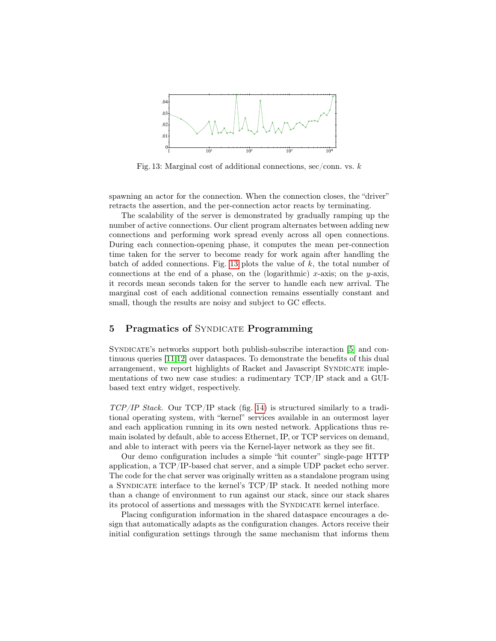<span id="page-21-1"></span>

Fig. 13: Marginal cost of additional connections, sec/conn. vs.  $k$ 

spawning an actor for the connection. When the connection closes, the "driver" retracts the assertion, and the per-connection actor reacts by terminating.

The scal[abili](#page-21-1)ty of the server is demonstrated by gradually ramping up the number of active connections. Our client program alternates between adding new connections and performing work spread evenly across all open connections. During each connection-opening phase, it computes the mean per-connection time taken for the server to become ready for work again after handling the batch of added connections. Fig. 13 plots the value of  $k$ , the total number of connections at the end of a phase, on the (logarithmic) x-axis; on the y-axis, it records mean seconds taken for the server to handle each new arrival. The marginal cost of each additional connection [rem](#page-25-7)ains essentially constant and [s](#page-25-8)mall, though the results are noisy and subject to GC effects.

## <span id="page-21-0"></span>5 Pragmatics of SYNDICATE Programming

Syndicate's networks support both publish-subscribe interaction [5] and continuous queries [11,[12\] o](#page-22-0)ver dataspaces. To demonstrate the benefits of this dual arrangement, we report highlights of Racket and Javascript SYNDICATE implementations of two new case studies: a rudimentary TCP/IP stack and a GUIbased text entry widget, respectively.

 $TCP/IP Stack.$  Our  $TCP/IP stack$  (fig. 14) is structured similarly to a traditional operating system, with "kernel" services available in an outermost layer and each application running in its own nested network. Applications thus remain isolated by default, able to access Ethernet, IP, or TCP services on demand, and able to interact with peers via the Kernel-layer network as they see fit.

Our demo configuration includes a simple "hit counter" single-page HTTP application, a TCP/IP-based chat server, and a simple UDP packet echo server. The code for the chat server was originally written as a standalone program using a Syndicate interface to the kernel's TCP/IP stack. It needed nothing more than a change of environment to run against our stack, since our stack shares its protocol of assertions and messages with the SYNDICATE kernel interface.

Placing configuration information in the shared dataspace encourages a design that automatically adapts as the configuration changes. Actors receive their initial configuration settings through the same mechanism that informs them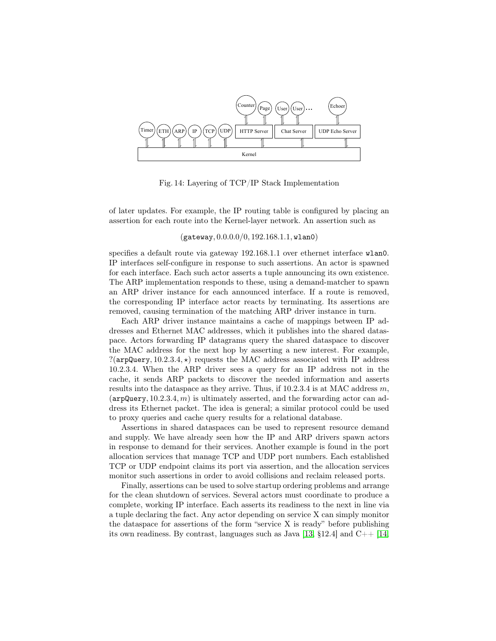<span id="page-22-0"></span>

Fig. 14: Layering of TCP/IP Stack Implementation

of later updates. For example, the IP routing table is configured by placing an assertion for each route into the Kernel-layer network. An assertion such as

#### (gateway, 0.0.0.0/0, 192.168.1.1, wlan0)

specifies a default route via gateway 192.168.1.1 over ethernet interface wlan0. IP interfaces self-configure in response to such assertions. An actor is spawned for each interface. Each such actor asserts a tuple announcing its own existence. The ARP implementation responds to these, using a demand-matcher to spawn an ARP driver instance for each announced interface. If a route is removed, the corresponding IP interface actor reacts by terminating. Its assertions are removed, causing termination of the matching ARP driver instance in turn.

Each ARP driver instance maintains a cache of mappings between IP addresses and Ethernet MAC addresses, which it publishes into the shared dataspace. Actors forwarding IP datagrams query the shared dataspace to discover the MAC address for the next hop by asserting a new interest. For example, ?(arpQuery, 10.2.3.4, $\star$ ) requests the MAC address associated with IP address 10.2.3.4. When the ARP driver sees a query for an IP address not in the cache, it sends ARP packets to discover the needed information and asserts results into the dataspace as they arrive. Thus, if  $10.2.3.4$  is at MAC address m,  $(\text{arpQuery}, 10.2.3.4, m)$  is ultimately asserted, and the forwarding actor can address its Ethernet packet. The idea is general; a similar protocol could be used to proxy queries and cache query results for a relational database.

Assertions in shared dataspaces can be used to represent resource demand and supply. We have already seen how the IP and ARP drivers spawn actors in response to demand for their services. Another example is found in the port allocation services that manage TCP and UDP port numbers. Each established TCP or UDP endpoint claims its port via assertion, and the allocation services monitor such assertions in order to avoid collisions and reclaim released ports.

Finally, assertions can be used [to s](#page-25-9)olve startup orderi[ng](#page-25-10) problems and arrange for the clean shutdown of services. Several actors must coordinate to produce a complete, working IP interface. Each asserts its readiness to the next in line via a tuple declaring the fact. Any actor depending on service X can simply monitor the dataspace for assertions of the form "service  $X$  is ready" before publishing its own readiness. By contrast, languages such as Java [13, §12.4] and  $C_{++}$  [14,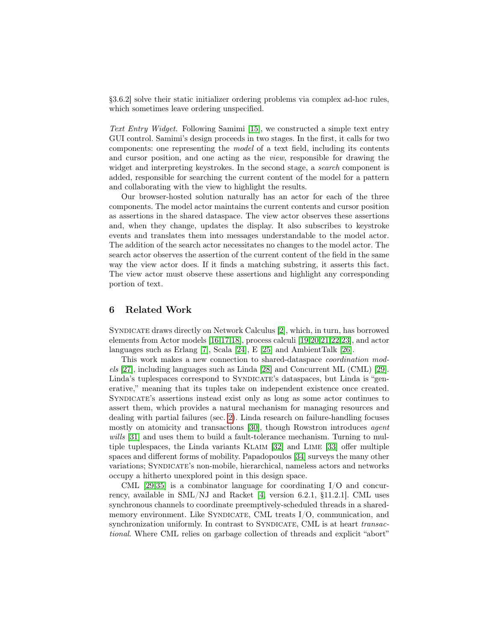§3.6.2] solve their static initializer ordering problems via complex ad-hoc rules, which sometimes leave ordering unspecified.

Text Entry Widget. Following Samimi [15], we constructed a simple text entry GUI control. Samimi's design proceeds in two stages. In the first, it calls for two components: one representing the model of a text field, including its contents and cursor position, and one acting as the view, responsible for drawing the widget and interpreting keystrokes. In the second stage, a search component is added, responsible for searching the current content of the model for a pattern and collaborating with the view to highlight the results.

Our browser-hosted solution naturally has an actor for each of the three components. The model actor maintains the current contents and cursor position as assertions in the shared dataspace. The view actor observes these assertions and, when they change, updates the display. It also subscribes to keystroke events and translates them into messages understandable to the model actor. The addition of the search actor necessitates no changes to the model actor. The search actor observes the assertion of the current content of the field in the same way the view actor does. If it finds a matching substring, it asserts this fact. The view actor must obse[rve](#page-25-0) these assertions and highlight any corresponding portion [of](#page-25-11) [tex](#page-25-12)[t.](#page-25-13)

## 6 Related Wor[k](#page-26-0)

Syndicate draws directly on Network Calculus [2], which, in turn, has borrowed elements from Actor models [16,17,18], process calculi [19,20,21,22,23], and actor languages such as Erlang [7], Scala [24], E [25] and AmbientTalk [26].

This work makes a new connection to shared-dataspace coordination models [27], incl[ud](#page-1-0)ing languages such as Linda [28] and Concurrent ML (CML) [29]. Linda's tuplespac[es c](#page-26-1)orrespond to SYNDICATE's dataspaces, but Linda is "generative," meaning that its tuples take on independent existence once created. Syndicate's assertions [inst](#page-26-2)ead exist o[nly](#page-26-3) as long as some actor continues to assert them, which provides a [nat](#page-26-4)ural mechanism for managing resources and dealing with partial failures (sec. 2). Linda research on failure-handling focuses mostly on atomicity and transactions [30], though Rowstron introduces agent wills [31] and uses them to build a fault-tolerance mechanism. Turning to multiple tuplespaces, th[e L](#page-25-2)inda variants KLAIM [32] and LIME [33] offer multiple spaces and different forms of mobility. Papadopoulos [34] surveys the many other variations; Syndicate's non-mobile, hierarchical, nameless actors and networks occupy a hitherto unexplored point in this design space.

CML [29,35] is a combinator language for coordinating I/O and concurrency, available in SML/NJ and Racket [4, version 6.2.1, §11.2.1]. CML uses synchronous channels to coordinate preemptively-scheduled threads in a sharedmemory environment. Like SYNDICATE, CML treats  $I/O$ , communication, and synchronization uniformly. In contrast to SYNDICATE, CML is at heart transactional. Where CML relies on garbage collection of threads and explicit "abort"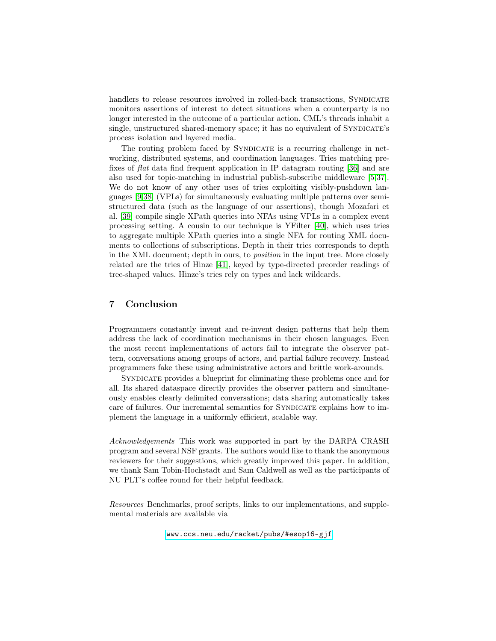handlers to release resources involved in rolled-back transactions, SYNDICATE monitors assertions of interest to detect situations when a counterparty is no longer interested in the outcome of a particula[r ac](#page-26-5)tion. CML's threads inhabit a single, unstructured shared-memory space; it has no [e](#page-25-7)[quiv](#page-26-6)alent of SYNDICATE's process isolation and layered media.

The routing problem faced by SYNDICATE is a recurring challenge in networking, distributed systems, and coordination languages. Tries matching prefixes of flat data find frequent application in IP datagram routing [36] and are also used for topic-matching in indu[stri](#page-26-7)al publish-subscribe middleware [5,37]. We do not know of any other uses of tries exploiting visibly-pushdown languages [9,38] (VPLs) for simultaneously evaluating multiple patterns over semistructured data (such as the language of our assertions), though Mozafari et al. [39] c[omp](#page-26-8)ile single XPath queries into NFAs using VPLs in a complex event processing setting. A cousin to our technique is YFilter [40], which uses tries to aggregate multiple XPath queries into a single NFA for routing XML documents to collections of subscriptions. Depth in their tries corresponds to depth in the XML document; depth in ours, to position in the input tree. More closely related are the tries of Hinze [41], keyed by type-directed preorder readings of tree-shaped values. Hinze's tries rely on types and lack wildcards.

## 7 Conclusion

Programmers constantly invent and re-invent design patterns that help them address the lack of coordination mechanisms in their chosen languages. Even the most recent implementations of actors fail to integrate the observer pattern, conversations among groups of actors, and partial failure recovery. Instead programmers fake these using administrative actors and brittle work-arounds.

Syndicate provides a blueprint for eliminating these problems once and for all. Its shared dataspace directly provides the observer pattern and simultaneously enables clearly delimited conversations; data sharing automatically takes care of failures. Our incremental semantics for SYNDICATE explains how to implement the language in a uniformly efficient, scalable way.

Acknowledgements This work was supported in part by the DARPA CRASH program and several NSF grants. The authors would like to thank the anonymous reviewers for their suggestions, which greatly improved this paper. In addition, we thank Sam Tobin-Hochstadt and Sam Caldwell as well as the participants of [NU PLT's coffee round for their helpful fee](www.ccs.neu.edu/racket/pubs/#esop16-gjf)dback.

Resources Benchmarks, proof scripts, links to our implementations, and supplemental materials are available via

www.ccs.neu.edu/racket/pubs/#esop16-gjf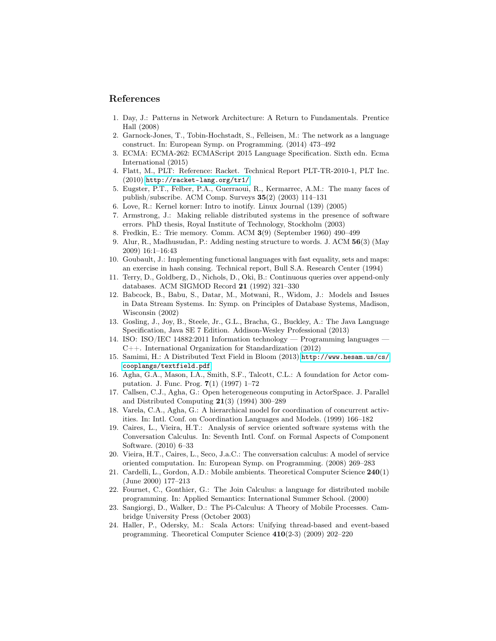## <span id="page-25-2"></span><span id="page-25-1"></span><span id="page-25-0"></span>References

- 1. Day, J.: Patterns in Network Architecture: A Return to Fundamentals. Prentice [Hall \(2008\)](http://racket-lang.org/tr1/)
- <span id="page-25-7"></span>2. Garnock-Jones, T., Tobin-Hochstadt, S., Felleisen, M.: The network as a language construct. In: European Symp. on Programming. (2014) 473–492
- <span id="page-25-3"></span>3. ECMA: ECMA-262: ECMAScript 2015 Language Specification. Sixth edn. Ecma International (2015)
- <span id="page-25-4"></span>4. Flatt, M., PLT: Reference: Racket. Technical Report PLT-TR-2010-1, PLT Inc. (2010) http://racket-lang.org/tr1/.
- <span id="page-25-5"></span>5. Eugster, P.T., Felber, P.A., Guerraoui, R., Kermarrec, A.M.: The many faces of publish/subscribe. ACM Comp. Surveys 35(2) (2003) 114–131
- 6. Love, R.: Kernel korner: Intro to inotify. Linux Journal (139) (2005)
- <span id="page-25-6"></span>7. Armstrong, J.: Making reliable distributed systems in the presence of software errors. PhD thesis, Royal Institute of Technology, Stockholm (2003)
- 8. Fredkin, E.: Trie memory. Comm. ACM 3(9) (September 1960) 490–499
- 9. Alur, R., Madhusudan, P.: Adding nesting structure to words. J. ACM 56(3) (May 2009) 16:1–16:43
- <span id="page-25-9"></span><span id="page-25-8"></span>10. Goubault, J.: Implementing functional languages with fast equality, sets and maps: an exercise in hash consing. Technical report, Bull S.A. Research Center (1994)
- <span id="page-25-10"></span>11. Terry, D., Goldberg, D., Nichols, D., Oki, B.: Continuous queries over append-only databases. ACM SIGMOD Record 21 (1992) 321–330
- 12. Babcock, B., Babu, S., Datar, M., Motwani, R., Widom, J.: Models and Issues in Data Stream Systems. In: S[ymp. on Principles of Databa](http://www.hesam.us/cs/cooplangs/textfield.pdf)se Systems, Madison, [Wisc](http://www.hesam.us/cs/cooplangs/textfield.pdf)onsin (2002)
- <span id="page-25-11"></span>13. Gosling, J., Joy, B., Steele, Jr., G.L., Bracha, G., Buckley, A.: The Java Language Specification, Java SE 7 Edition. Addison-Wesley Professional (2013)
- <span id="page-25-12"></span>14. ISO: ISO/IEC 14882:2011 Information technology — Programming languages — C++. International Organization for Standardization (2012)
- <span id="page-25-13"></span>15. Samimi, H.: A Distributed Text Field in Bloom (2013) http://www.hesam.us/cs/ cooplangs/textfield.pdf.
- 16. Agha, G.A., Mason, I.A., Smith, S.F., Talcott, C.L.: A foundation for Actor computation. J. Func. Prog. 7(1) (1997) 1–72
- 17. Callsen, C.J., Agha, G.: Open heterogeneous computing in ActorSpace. J. Parallel and Distributed Computing 21(3) (1994) 300–289
- 18. Varela, C.A., Agha, G.: A hierarchical model for coordination of concurrent activities. In: Intl. Conf. on Coordination Languages and Models. (1999) 166–182
- 19. Caires, L., Vieira, H.T.: Analysis of service oriented software systems with the Conversation Calculus. In: Seventh Intl. Conf. on Formal Aspects of Component Software. (2010) 6–33
- 20. Vieira, H.T., Caires, L., Seco, J.a.C.: The conversation calculus: A model of service oriented computation. In: European Symp. on Programming. (2008) 269–283
- 21. Cardelli, L., Gordon, A.D.: Mobile ambients. Theoretical Computer Science 240(1) (June 2000) 177–213
- 22. Fournet, C., Gonthier, G.: The Join Calculus: a language for distributed mobile programming. In: Applied Semantics: International Summer School. (2000)
- 23. Sangiorgi, D., Walker, D.: The Pi-Calculus: A Theory of Mobile Processes. Cambridge University Press (October 2003)
- 24. Haller, P., Odersky, M.: Scala Actors: Unifying thread-based and event-based programming. Theoretical Computer Science 410(2-3) (2009) 202–220